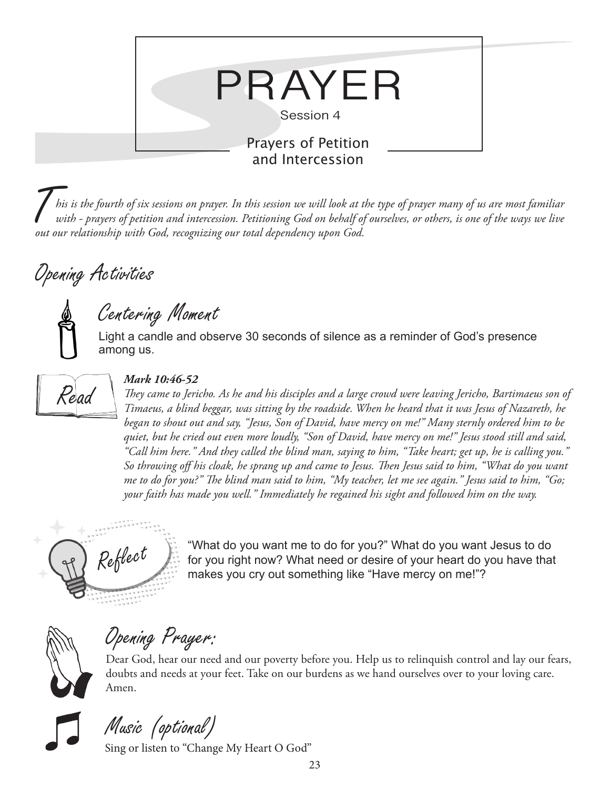

T*his is the fourth of six sessions on prayer. In this session we will look at the type of prayer many of us are most familiar with - prayers of petition and intercession. Petitioning God on behalf of ourselves, or others, is one of the ways we live out our relationship with God, recognizing our total dependency upon God.* 

### Opening Activities

## Centering Moment

Light a candle and observe 30 seconds of silence as a reminder of God's presence among us.



#### *Mark 10:46-52*

*They came to Jericho. As he and his disciples and a large crowd were leaving Jericho, Bartimaeus son of Timaeus, a blind beggar, was sitting by the roadside. When he heard that it was Jesus of Nazareth, he began to shout out and say, "Jesus, Son of David, have mercy on me!" Many sternly ordered him to be quiet, but he cried out even more loudly, "Son of David, have mercy on me!" Jesus stood still and said, "Call him here." And they called the blind man, saying to him, "Take heart; get up, he is calling you." So throwing off his cloak, he sprang up and came to Jesus. Then Jesus said to him, "What do you want me to do for you?" The blind man said to him, "My teacher, let me see again." Jesus said to him, "Go; your faith has made you well." Immediately he regained his sight and followed him on the way.*



 $Re\ell$   $\ell$   $\ell$   $\ell$   $\ell$   $\ell$   $\ell$   $\ell$  for you right now? What need or desire of your heart do you have that makes you cry out something like "Have mercy on me!"?



# Opening Prayer:

Dear God, hear our need and our poverty before you. Help us to relinquish control and lay our fears, doubts and needs at your feet. Take on our burdens as we hand ourselves over to your loving care. Amen.

Music (optional)

Sing or listen to "Change My Heart O God"